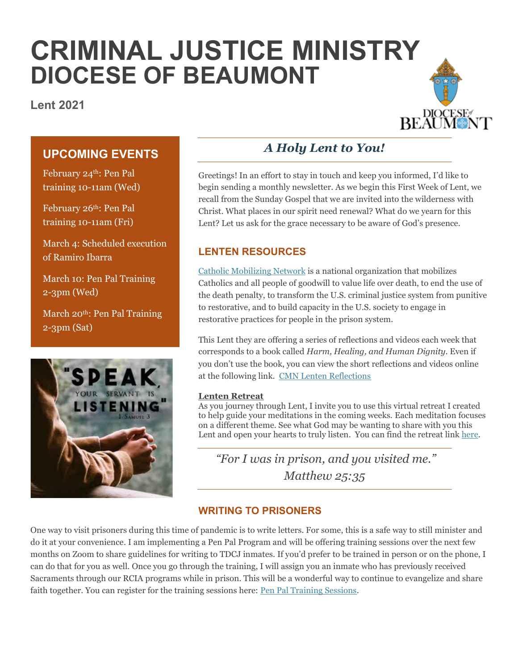# **CRIMINAL JUSTICE MINISTRY DIOCESE OF BEAUMONT**

**Lent 2021**



## **UPCOMING EVENTS**

February 24th: Pen Pal training 10-11am (Wed)

February 26th: Pen Pal training 10-11am (Fri)

March 4: Scheduled execution of Ramiro Ibarra

March 10: Pen Pal Training 2-3pm (Wed)

March 20<sup>th</sup>: Pen Pal Training 2-3pm (Sat)



# *A Holy Lent to You!*

Greetings! In an effort to stay in touch and keep you informed, I'd like to begin sending a monthly newsletter. As we begin this First Week of Lent, we recall from the Sunday Gospel that we are invited into the wilderness with Christ. What places in our spirit need renewal? What do we yearn for this Lent? Let us ask for the grace necessary to be aware of God's presence.

## **LENTEN RESOURCES**

[Catholic Mobilizing Network](https://catholicsmobilizing.org/) is a national organization that mobilizes Catholics and all people of goodwill to value life over death, to end the use of the death penalty, to transform the U.S. criminal justice system from punitive to restorative, and to build capacity in the U.S. society to engage in restorative practices for people in the prison system.

This Lent they are offering a series of reflections and videos each week that corresponds to a book called *Harm, Healing, and Human Dignity*. Even if you don't use the book, you can view the short reflections and videos online at the following link. [CMN Lenten Reflections](https://catholicsmobilizing.org/restorative-justice-light-lenten-gospels-five-week-exploration)

#### **Lenten Retreat**

As you journey through Lent, I invite you to use this virtual retreat I created to help guide your meditations in the coming weeks. Each meditation focuses on a different theme. See what God may be wanting to share with you this Lent and open your hearts to truly listen. You can find the retreat link [here.](https://spark.adobe.com/page/c8iYWNZ40OWQ8/)

*"For I was in prison, and you visited me." Matthew 25:35* 

### **WRITING TO PRISONERS**

One way to visit prisoners during this time of pandemic is to write letters. For some, this is a safe way to still minister and do it at your convenience. I am implementing a Pen Pal Program and will be offering training sessions over the next few months on Zoom to share guidelines for writing to TDCJ inmates. If you'd prefer to be trained in person or on the phone, I can do that for you as well. Once you go through the training, I will assign you an inmate who has previously received Sacraments through our RCIA programs while in prison. This will be a wonderful way to continue to evangelize and share faith together. You can register for the training sessions here: [Pen Pal Training Sessions.](https://forms.gle/uwF6Fe96rGzv4x8Z6)